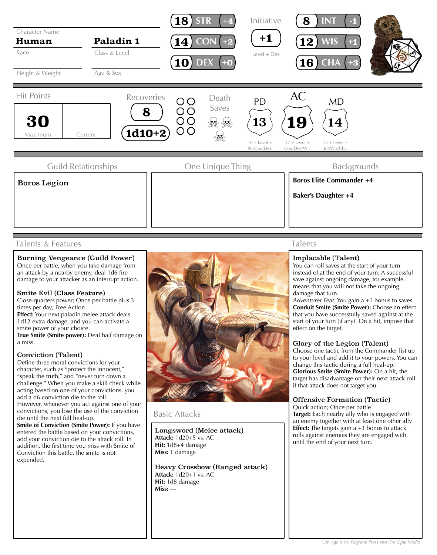

### Talents & Features

#### Burning Vengeance (Guild Power) Once per battle, when you take damage from an attack by a nearby enemy, deal 1d6 fire damage to your attacker as an interrupt action.

### Smite Evil (Class Feature)

Close-quarters power; Once per battle plus 3 times per day; Free Action

**Effect:** Your next paladin melee attack deals 1d12 extra damage, and you can activate a smite power of your choice. **True Smite (Smite power):** Deal half damage on a miss.

### Conviction (Talent)

Define three moral convictions for your character, such as "protect the innocent," "speak the truth," and "never turn down a challenge." When you make a skill check while acting based on one of your convictions, you add a d6 conviction die to the roll. However, whenever you act against one of your convictions, you lose the use of the conviction die until the next full heal-up. **Smite of Conviction (Smite Power):** If you have

entered the battle based on your convictions, add your conviction die to the attack roll. In addition, the first time you miss with Smite of Conviction this battle, the smite is not expended.



### Basic Attacks

Longsword (Melee attack) **Attack:** 1d20+5 vs. AC **Hit:** 1d8+4 damage **Miss:** 1 damage

Heavy Crossbow (Ranged attack) **Attack:** 1d20+1 vs. AC **Hit:** 1d8 damage **Miss:** —

## Talents

#### Implacable (Talent)

You can roll saves at the start of your turn instead of at the end of your turn. A successful save against ongoing damage, for example, means that you will not take the ongoing damage that turn.

*Adventurer Feat*: You gain a +1 bonus to saves. **Conduit Smite (Smite Power):** Choose an effect that you have successfully saved against at the start of your turn (if any). On a hit, impose that effect on the target.

### Glory of the Legion (Talent)

Choose one tactic from the Commander list up to your level and add it to your powers. You can change this tactic during a full heal-up. **Glorious Smite (Smite Power):** On a hit, the target has disadvantage on their next attack roll if that attack does not target you.

### Offensive Formation (Tactic)

Quick action; Once per battle **Target:** Each nearby ally who is engaged with an enemy together with at least one other ally **Effect:** The targets gain a +3 bonus to attack rolls against enemies they are engaged with, until the end of your next turn.